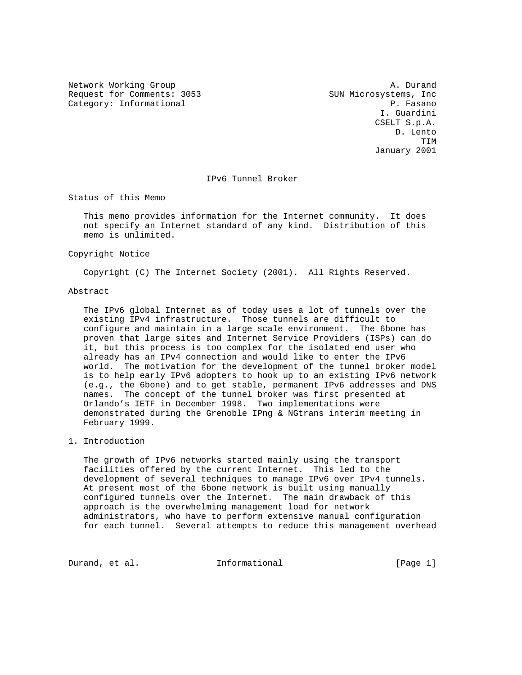Request for Comments: 3053 SUN Microsystems, Inc<br>Category: Informational Research Research Category: Informational

Network Working Group and the set of the set of the set of the set of the set of the set of the set of the set of the set of the set of the set of the set of the set of the set of the set of the set of the set of the set o I. Guardini CSELT S.p.A. D. Lento TIM January 2001

## IPv6 Tunnel Broker

Status of this Memo

 This memo provides information for the Internet community. It does not specify an Internet standard of any kind. Distribution of this memo is unlimited.

Copyright Notice

Copyright (C) The Internet Society (2001). All Rights Reserved.

## Abstract

 The IPv6 global Internet as of today uses a lot of tunnels over the existing IPv4 infrastructure. Those tunnels are difficult to configure and maintain in a large scale environment. The 6bone has proven that large sites and Internet Service Providers (ISPs) can do it, but this process is too complex for the isolated end user who already has an IPv4 connection and would like to enter the IPv6 world. The motivation for the development of the tunnel broker model is to help early IPv6 adopters to hook up to an existing IPv6 network (e.g., the 6bone) and to get stable, permanent IPv6 addresses and DNS names. The concept of the tunnel broker was first presented at Orlando's IETF in December 1998. Two implementations were demonstrated during the Grenoble IPng & NGtrans interim meeting in February 1999.

1. Introduction

 The growth of IPv6 networks started mainly using the transport facilities offered by the current Internet. This led to the development of several techniques to manage IPv6 over IPv4 tunnels. At present most of the 6bone network is built using manually configured tunnels over the Internet. The main drawback of this approach is the overwhelming management load for network administrators, who have to perform extensive manual configuration for each tunnel. Several attempts to reduce this management overhead

Durand, et al. **Informational** [Page 1]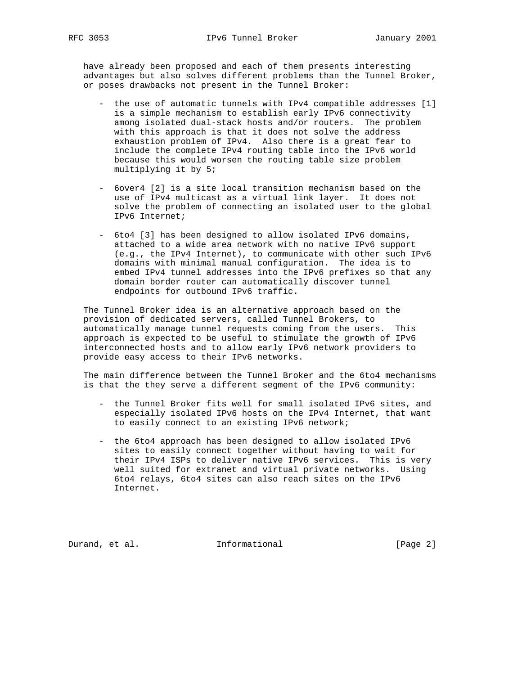have already been proposed and each of them presents interesting advantages but also solves different problems than the Tunnel Broker, or poses drawbacks not present in the Tunnel Broker:

- the use of automatic tunnels with IPv4 compatible addresses [1] is a simple mechanism to establish early IPv6 connectivity among isolated dual-stack hosts and/or routers. The problem with this approach is that it does not solve the address exhaustion problem of IPv4. Also there is a great fear to include the complete IPv4 routing table into the IPv6 world because this would worsen the routing table size problem multiplying it by 5;
- 6over4 [2] is a site local transition mechanism based on the use of IPv4 multicast as a virtual link layer. It does not solve the problem of connecting an isolated user to the global IPv6 Internet;
- 6to4 [3] has been designed to allow isolated IPv6 domains, attached to a wide area network with no native IPv6 support (e.g., the IPv4 Internet), to communicate with other such IPv6 domains with minimal manual configuration. The idea is to embed IPv4 tunnel addresses into the IPv6 prefixes so that any domain border router can automatically discover tunnel endpoints for outbound IPv6 traffic.

 The Tunnel Broker idea is an alternative approach based on the provision of dedicated servers, called Tunnel Brokers, to automatically manage tunnel requests coming from the users. This approach is expected to be useful to stimulate the growth of IPv6 interconnected hosts and to allow early IPv6 network providers to provide easy access to their IPv6 networks.

 The main difference between the Tunnel Broker and the 6to4 mechanisms is that the they serve a different segment of the IPv6 community:

- the Tunnel Broker fits well for small isolated IPv6 sites, and especially isolated IPv6 hosts on the IPv4 Internet, that want to easily connect to an existing IPv6 network;
- the 6to4 approach has been designed to allow isolated IPv6 sites to easily connect together without having to wait for their IPv4 ISPs to deliver native IPv6 services. This is very well suited for extranet and virtual private networks. Using 6to4 relays, 6to4 sites can also reach sites on the IPv6 Internet.

Durand, et al. **Informational** [Page 2]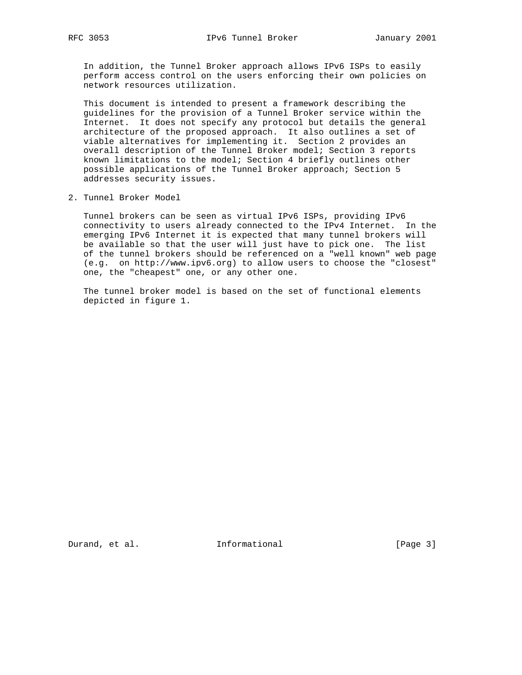In addition, the Tunnel Broker approach allows IPv6 ISPs to easily perform access control on the users enforcing their own policies on network resources utilization.

 This document is intended to present a framework describing the guidelines for the provision of a Tunnel Broker service within the Internet. It does not specify any protocol but details the general architecture of the proposed approach. It also outlines a set of viable alternatives for implementing it. Section 2 provides an overall description of the Tunnel Broker model; Section 3 reports known limitations to the model; Section 4 briefly outlines other possible applications of the Tunnel Broker approach; Section 5 addresses security issues.

2. Tunnel Broker Model

 Tunnel brokers can be seen as virtual IPv6 ISPs, providing IPv6 connectivity to users already connected to the IPv4 Internet. In the emerging IPv6 Internet it is expected that many tunnel brokers will be available so that the user will just have to pick one. The list of the tunnel brokers should be referenced on a "well known" web page (e.g. on http://www.ipv6.org) to allow users to choose the "closest" one, the "cheapest" one, or any other one.

 The tunnel broker model is based on the set of functional elements depicted in figure 1.

Durand, et al. 1nformational 1999 [Page 3]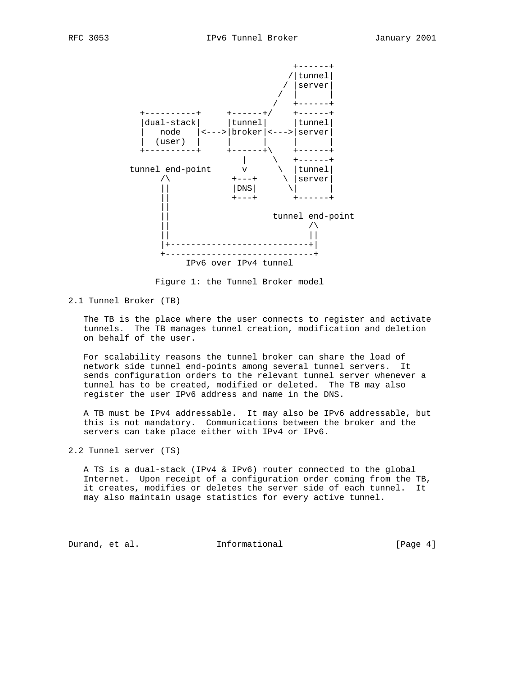



Figure 1: the Tunnel Broker model

### 2.1 Tunnel Broker (TB)

 The TB is the place where the user connects to register and activate tunnels. The TB manages tunnel creation, modification and deletion on behalf of the user.

 For scalability reasons the tunnel broker can share the load of network side tunnel end-points among several tunnel servers. It sends configuration orders to the relevant tunnel server whenever a tunnel has to be created, modified or deleted. The TB may also register the user IPv6 address and name in the DNS.

 A TB must be IPv4 addressable. It may also be IPv6 addressable, but this is not mandatory. Communications between the broker and the servers can take place either with IPv4 or IPv6.

2.2 Tunnel server (TS)

 A TS is a dual-stack (IPv4 & IPv6) router connected to the global Internet. Upon receipt of a configuration order coming from the TB, it creates, modifies or deletes the server side of each tunnel. It may also maintain usage statistics for every active tunnel.

Durand, et al. 1nformational 1999 [Page 4]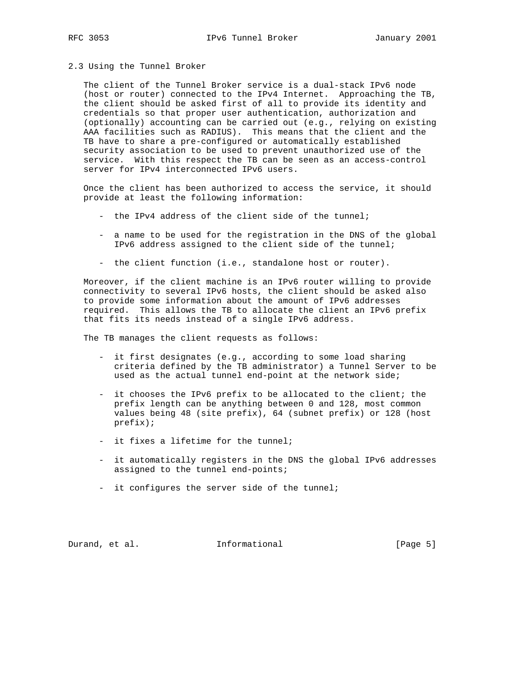# 2.3 Using the Tunnel Broker

 The client of the Tunnel Broker service is a dual-stack IPv6 node (host or router) connected to the IPv4 Internet. Approaching the TB, the client should be asked first of all to provide its identity and credentials so that proper user authentication, authorization and (optionally) accounting can be carried out (e.g., relying on existing AAA facilities such as RADIUS). This means that the client and the TB have to share a pre-configured or automatically established security association to be used to prevent unauthorized use of the service. With this respect the TB can be seen as an access-control server for IPv4 interconnected IPv6 users.

 Once the client has been authorized to access the service, it should provide at least the following information:

- the IPv4 address of the client side of the tunnel;
- a name to be used for the registration in the DNS of the global IPv6 address assigned to the client side of the tunnel;
- the client function (i.e., standalone host or router).

 Moreover, if the client machine is an IPv6 router willing to provide connectivity to several IPv6 hosts, the client should be asked also to provide some information about the amount of IPv6 addresses required. This allows the TB to allocate the client an IPv6 prefix that fits its needs instead of a single IPv6 address.

The TB manages the client requests as follows:

- it first designates (e.g., according to some load sharing criteria defined by the TB administrator) a Tunnel Server to be used as the actual tunnel end-point at the network side;
- it chooses the IPv6 prefix to be allocated to the client; the prefix length can be anything between 0 and 128, most common values being 48 (site prefix), 64 (subnet prefix) or 128 (host prefix);
- it fixes a lifetime for the tunnel;
- it automatically registers in the DNS the global IPv6 addresses assigned to the tunnel end-points;
- it configures the server side of the tunnel;

Durand, et al. **Informational** [Page 5]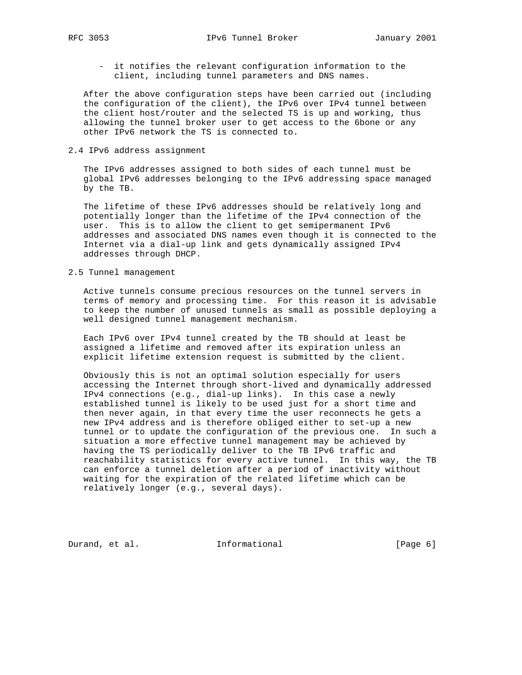- it notifies the relevant configuration information to the client, including tunnel parameters and DNS names.

 After the above configuration steps have been carried out (including the configuration of the client), the IPv6 over IPv4 tunnel between the client host/router and the selected TS is up and working, thus allowing the tunnel broker user to get access to the 6bone or any other IPv6 network the TS is connected to.

### 2.4 IPv6 address assignment

 The IPv6 addresses assigned to both sides of each tunnel must be global IPv6 addresses belonging to the IPv6 addressing space managed by the TB.

 The lifetime of these IPv6 addresses should be relatively long and potentially longer than the lifetime of the IPv4 connection of the user. This is to allow the client to get semipermanent IPv6 addresses and associated DNS names even though it is connected to the Internet via a dial-up link and gets dynamically assigned IPv4 addresses through DHCP.

## 2.5 Tunnel management

 Active tunnels consume precious resources on the tunnel servers in terms of memory and processing time. For this reason it is advisable to keep the number of unused tunnels as small as possible deploying a well designed tunnel management mechanism.

 Each IPv6 over IPv4 tunnel created by the TB should at least be assigned a lifetime and removed after its expiration unless an explicit lifetime extension request is submitted by the client.

 Obviously this is not an optimal solution especially for users accessing the Internet through short-lived and dynamically addressed IPv4 connections (e.g., dial-up links). In this case a newly established tunnel is likely to be used just for a short time and then never again, in that every time the user reconnects he gets a new IPv4 address and is therefore obliged either to set-up a new tunnel or to update the configuration of the previous one. In such a situation a more effective tunnel management may be achieved by having the TS periodically deliver to the TB IPv6 traffic and reachability statistics for every active tunnel. In this way, the TB can enforce a tunnel deletion after a period of inactivity without waiting for the expiration of the related lifetime which can be relatively longer (e.g., several days).

Durand, et al. 1nformational 1999 [Page 6]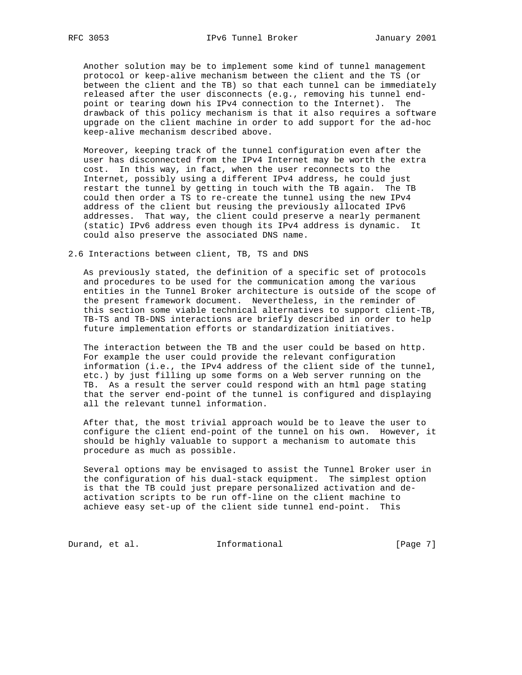Another solution may be to implement some kind of tunnel management protocol or keep-alive mechanism between the client and the TS (or between the client and the TB) so that each tunnel can be immediately released after the user disconnects (e.g., removing his tunnel end point or tearing down his IPv4 connection to the Internet). The drawback of this policy mechanism is that it also requires a software upgrade on the client machine in order to add support for the ad-hoc keep-alive mechanism described above.

 Moreover, keeping track of the tunnel configuration even after the user has disconnected from the IPv4 Internet may be worth the extra cost. In this way, in fact, when the user reconnects to the Internet, possibly using a different IPv4 address, he could just restart the tunnel by getting in touch with the TB again. The TB could then order a TS to re-create the tunnel using the new IPv4 address of the client but reusing the previously allocated IPv6 addresses. That way, the client could preserve a nearly permanent (static) IPv6 address even though its IPv4 address is dynamic. It could also preserve the associated DNS name.

2.6 Interactions between client, TB, TS and DNS

 As previously stated, the definition of a specific set of protocols and procedures to be used for the communication among the various entities in the Tunnel Broker architecture is outside of the scope of the present framework document. Nevertheless, in the reminder of this section some viable technical alternatives to support client-TB, TB-TS and TB-DNS interactions are briefly described in order to help future implementation efforts or standardization initiatives.

 The interaction between the TB and the user could be based on http. For example the user could provide the relevant configuration information (i.e., the IPv4 address of the client side of the tunnel, etc.) by just filling up some forms on a Web server running on the TB. As a result the server could respond with an html page stating that the server end-point of the tunnel is configured and displaying all the relevant tunnel information.

 After that, the most trivial approach would be to leave the user to configure the client end-point of the tunnel on his own. However, it should be highly valuable to support a mechanism to automate this procedure as much as possible.

 Several options may be envisaged to assist the Tunnel Broker user in the configuration of his dual-stack equipment. The simplest option is that the TB could just prepare personalized activation and de activation scripts to be run off-line on the client machine to achieve easy set-up of the client side tunnel end-point. This

Durand, et al. 1nformational 1999 [Page 7]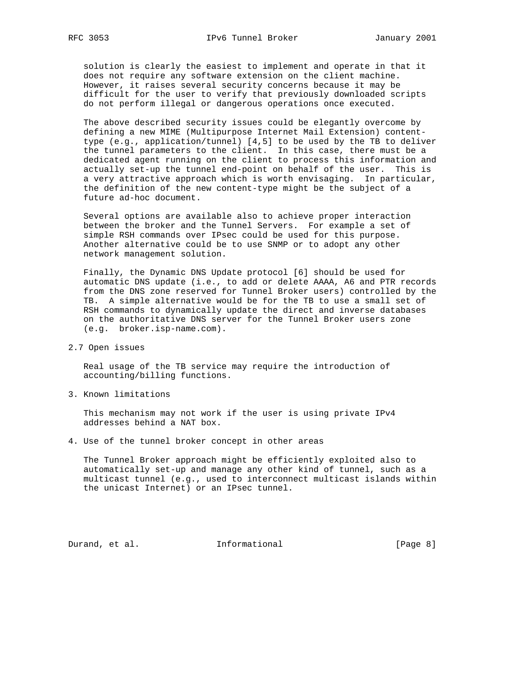solution is clearly the easiest to implement and operate in that it does not require any software extension on the client machine. However, it raises several security concerns because it may be difficult for the user to verify that previously downloaded scripts do not perform illegal or dangerous operations once executed.

 The above described security issues could be elegantly overcome by defining a new MIME (Multipurpose Internet Mail Extension) content type (e.g., application/tunnel) [4,5] to be used by the TB to deliver the tunnel parameters to the client. In this case, there must be a dedicated agent running on the client to process this information and actually set-up the tunnel end-point on behalf of the user. This is a very attractive approach which is worth envisaging. In particular, the definition of the new content-type might be the subject of a future ad-hoc document.

 Several options are available also to achieve proper interaction between the broker and the Tunnel Servers. For example a set of simple RSH commands over IPsec could be used for this purpose. Another alternative could be to use SNMP or to adopt any other network management solution.

 Finally, the Dynamic DNS Update protocol [6] should be used for automatic DNS update (i.e., to add or delete AAAA, A6 and PTR records from the DNS zone reserved for Tunnel Broker users) controlled by the TB. A simple alternative would be for the TB to use a small set of RSH commands to dynamically update the direct and inverse databases on the authoritative DNS server for the Tunnel Broker users zone (e.g. broker.isp-name.com).

2.7 Open issues

 Real usage of the TB service may require the introduction of accounting/billing functions.

3. Known limitations

 This mechanism may not work if the user is using private IPv4 addresses behind a NAT box.

4. Use of the tunnel broker concept in other areas

 The Tunnel Broker approach might be efficiently exploited also to automatically set-up and manage any other kind of tunnel, such as a multicast tunnel (e.g., used to interconnect multicast islands within the unicast Internet) or an IPsec tunnel.

Durand, et al. 1nformational 1999 [Page 8]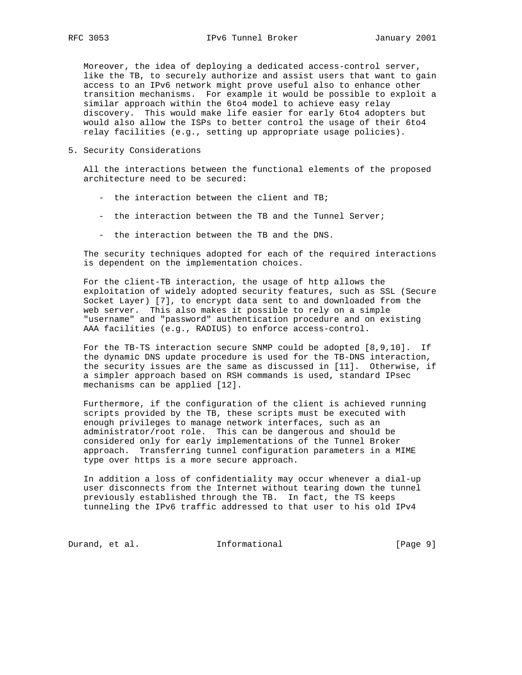Moreover, the idea of deploying a dedicated access-control server, like the TB, to securely authorize and assist users that want to gain access to an IPv6 network might prove useful also to enhance other transition mechanisms. For example it would be possible to exploit a similar approach within the 6to4 model to achieve easy relay discovery. This would make life easier for early 6to4 adopters but would also allow the ISPs to better control the usage of their 6to4 relay facilities (e.g., setting up appropriate usage policies).

5. Security Considerations

 All the interactions between the functional elements of the proposed architecture need to be secured:

- the interaction between the client and TB;
- the interaction between the TB and the Tunnel Server;
- the interaction between the TB and the DNS.

 The security techniques adopted for each of the required interactions is dependent on the implementation choices.

 For the client-TB interaction, the usage of http allows the exploitation of widely adopted security features, such as SSL (Secure Socket Layer) [7], to encrypt data sent to and downloaded from the web server. This also makes it possible to rely on a simple "username" and "password" authentication procedure and on existing AAA facilities (e.g., RADIUS) to enforce access-control.

 For the TB-TS interaction secure SNMP could be adopted [8,9,10]. If the dynamic DNS update procedure is used for the TB-DNS interaction, the security issues are the same as discussed in [11]. Otherwise, if a simpler approach based on RSH commands is used, standard IPsec mechanisms can be applied [12].

 Furthermore, if the configuration of the client is achieved running scripts provided by the TB, these scripts must be executed with enough privileges to manage network interfaces, such as an administrator/root role. This can be dangerous and should be considered only for early implementations of the Tunnel Broker approach. Transferring tunnel configuration parameters in a MIME type over https is a more secure approach.

 In addition a loss of confidentiality may occur whenever a dial-up user disconnects from the Internet without tearing down the tunnel previously established through the TB. In fact, the TS keeps tunneling the IPv6 traffic addressed to that user to his old IPv4

Durand, et al. 1nformational 1999 [Page 9]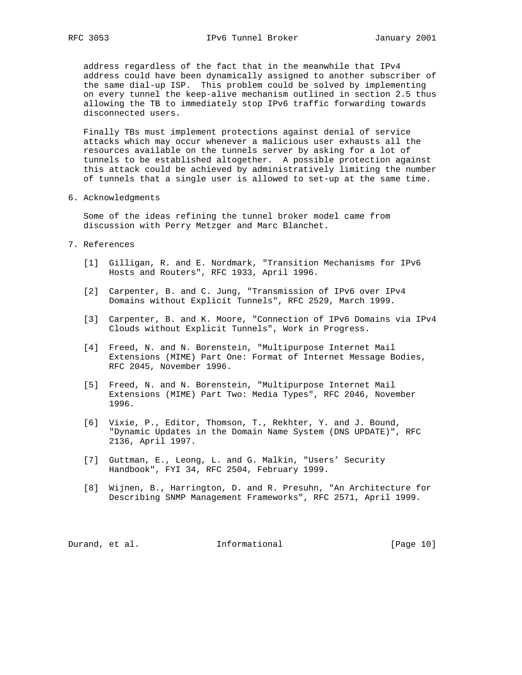address regardless of the fact that in the meanwhile that IPv4 address could have been dynamically assigned to another subscriber of the same dial-up ISP. This problem could be solved by implementing on every tunnel the keep-alive mechanism outlined in section 2.5 thus allowing the TB to immediately stop IPv6 traffic forwarding towards disconnected users.

 Finally TBs must implement protections against denial of service attacks which may occur whenever a malicious user exhausts all the resources available on the tunnels server by asking for a lot of tunnels to be established altogether. A possible protection against this attack could be achieved by administratively limiting the number of tunnels that a single user is allowed to set-up at the same time.

6. Acknowledgments

 Some of the ideas refining the tunnel broker model came from discussion with Perry Metzger and Marc Blanchet.

- 7. References
	- [1] Gilligan, R. and E. Nordmark, "Transition Mechanisms for IPv6 Hosts and Routers", RFC 1933, April 1996.
	- [2] Carpenter, B. and C. Jung, "Transmission of IPv6 over IPv4 Domains without Explicit Tunnels", RFC 2529, March 1999.
	- [3] Carpenter, B. and K. Moore, "Connection of IPv6 Domains via IPv4 Clouds without Explicit Tunnels", Work in Progress.
	- [4] Freed, N. and N. Borenstein, "Multipurpose Internet Mail Extensions (MIME) Part One: Format of Internet Message Bodies, RFC 2045, November 1996.
	- [5] Freed, N. and N. Borenstein, "Multipurpose Internet Mail Extensions (MIME) Part Two: Media Types", RFC 2046, November 1996.
	- [6] Vixie, P., Editor, Thomson, T., Rekhter, Y. and J. Bound, "Dynamic Updates in the Domain Name System (DNS UPDATE)", RFC 2136, April 1997.
	- [7] Guttman, E., Leong, L. and G. Malkin, "Users' Security Handbook", FYI 34, RFC 2504, February 1999.
	- [8] Wijnen, B., Harrington, D. and R. Presuhn, "An Architecture for Describing SNMP Management Frameworks", RFC 2571, April 1999.

Durand, et al. 10 Informational [Page 10]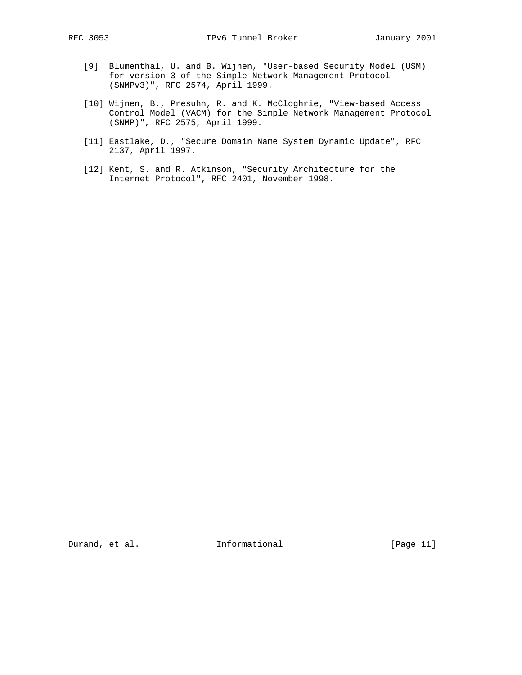- [9] Blumenthal, U. and B. Wijnen, "User-based Security Model (USM) for version 3 of the Simple Network Management Protocol (SNMPv3)", RFC 2574, April 1999.
- [10] Wijnen, B., Presuhn, R. and K. McCloghrie, "View-based Access Control Model (VACM) for the Simple Network Management Protocol (SNMP)", RFC 2575, April 1999.
- [11] Eastlake, D., "Secure Domain Name System Dynamic Update", RFC 2137, April 1997.
- [12] Kent, S. and R. Atkinson, "Security Architecture for the Internet Protocol", RFC 2401, November 1998.

Durand, et al. 10 Informational 1999 [Page 11]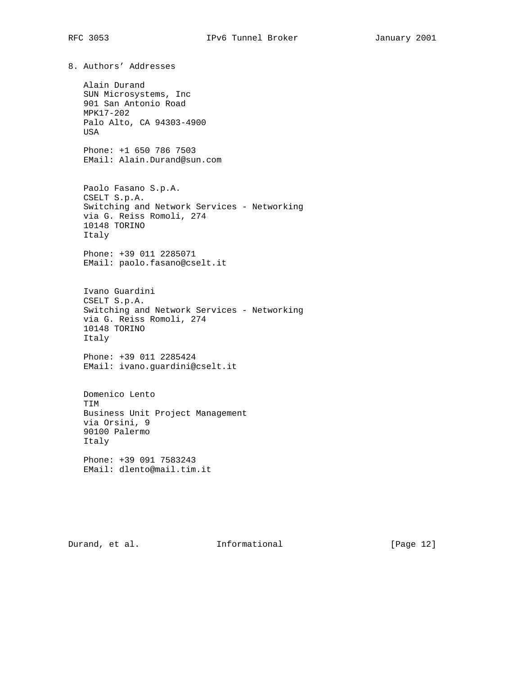8. Authors' Addresses Alain Durand SUN Microsystems, Inc 901 San Antonio Road MPK17-202 Palo Alto, CA 94303-4900 USA Phone: +1 650 786 7503 EMail: Alain.Durand@sun.com Paolo Fasano S.p.A. CSELT S.p.A. Switching and Network Services - Networking via G. Reiss Romoli, 274 10148 TORINO Italy Phone: +39 011 2285071 EMail: paolo.fasano@cselt.it Ivano Guardini CSELT S.p.A. Switching and Network Services - Networking via G. Reiss Romoli, 274 10148 TORINO Italy Phone: +39 011 2285424 EMail: ivano.guardini@cselt.it Domenico Lento TIM Business Unit Project Management via Orsini, 9 90100 Palermo Italy Phone: +39 091 7583243 EMail: dlento@mail.tim.it

Durand, et al. 1nformational [Page 12]